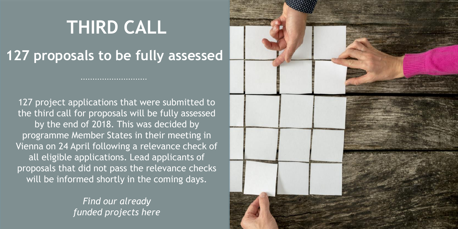## **THIRD CALL**

#### **127 proposals to be fully assessed**

...........................

127 project applications that were submitted to the third call for proposals will be fully assessed by the end of 2018. This was decided by programme Member States in their meeting in Vienna on 24 April following a relevance check of all eligible applications. Lead applicants of proposals that did not pass the relevance checks will be informed shortly in the coming days.

> *Find our already funded projects here*

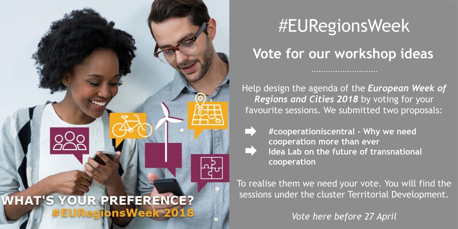

## #EURegionsWeek

#### **Vote for our workshop ideas**

Help design the agenda of the *European Week of Regions and Cities 2018* by voting for your favourite sessions. We submitted two proposals:

- - **#cooperationiscentral - Why we need cooperation more than ever Idea Lab on the future of transnational cooperation**

To realise them we need your vote. You will find the sessions under the cluster Territorial Development.

*Vote here before 27 April*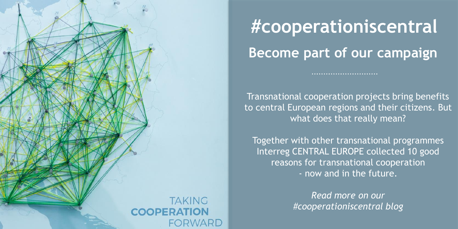

## **#cooperationiscentral Become part of our campaign**

Transnational cooperation projects bring benefits to central European regions and their citizens. But what does that really mean?

Together with other transnational programmes Interreg CENTRAL EUROPE collected 10 good reasons for transnational cooperation - now and in the future.

> *Read more on our #cooperationiscentral blog*